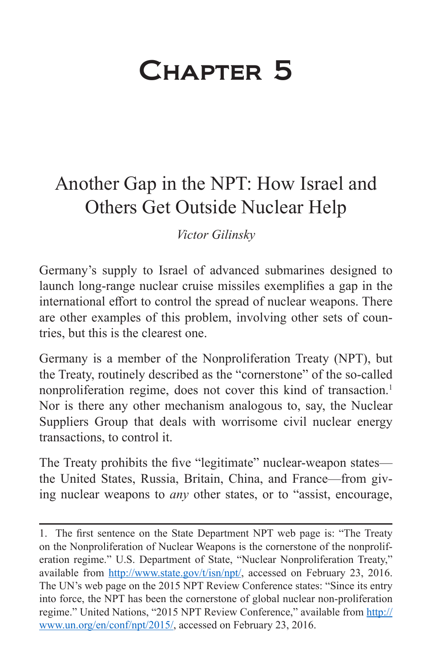## Chapter 5

## Another Gap in the NPT: How Israel and Others Get Outside Nuclear Help

*Victor Gilinsky*

Germany's supply to Israel of advanced submarines designed to launch long-range nuclear cruise missiles exemplifies a gap in the international effort to control the spread of nuclear weapons. There are other examples of this problem, involving other sets of countries, but this is the clearest one.

Germany is a member of the Nonproliferation Treaty (NPT), but the Treaty, routinely described as the "cornerstone" of the so-called nonproliferation regime, does not cover this kind of transaction.<sup>1</sup> Nor is there any other mechanism analogous to, say, the Nuclear Suppliers Group that deals with worrisome civil nuclear energy transactions, to control it.

The Treaty prohibits the five "legitimate" nuclear-weapon states the United States, Russia, Britain, China, and France—from giving nuclear weapons to *any* other states, or to "assist, encourage,

<sup>1.</sup> The first sentence on the State Department NPT web page is: "The Treaty on the Nonproliferation of Nuclear Weapons is the cornerstone of the nonproliferation regime." U.S. Department of State, "Nuclear Nonproliferation Treaty," available from <http://www.state.gov/t/isn/npt/>, accessed on February 23, 2016. The UN's web page on the 2015 NPT Review Conference states: "Since its entry into force, the NPT has been the cornerstone of global nuclear non-proliferation regime." United Nations, "2015 NPT Review Conference," available from [http://](http://www.un.org/en/conf/npt/2015/) [www.un.org/en/conf/npt/2015/](http://www.un.org/en/conf/npt/2015/), accessed on February 23, 2016.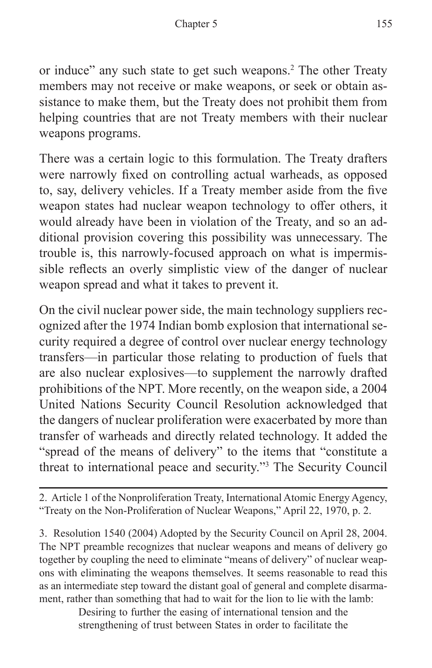or induce" any such state to get such weapons.2 The other Treaty members may not receive or make weapons, or seek or obtain assistance to make them, but the Treaty does not prohibit them from helping countries that are not Treaty members with their nuclear weapons programs.

There was a certain logic to this formulation. The Treaty drafters were narrowly fixed on controlling actual warheads, as opposed to, say, delivery vehicles. If a Treaty member aside from the five weapon states had nuclear weapon technology to offer others, it would already have been in violation of the Treaty, and so an additional provision covering this possibility was unnecessary. The trouble is, this narrowly-focused approach on what is impermissible reflects an overly simplistic view of the danger of nuclear weapon spread and what it takes to prevent it.

On the civil nuclear power side, the main technology suppliers recognized after the 1974 Indian bomb explosion that international security required a degree of control over nuclear energy technology transfers—in particular those relating to production of fuels that are also nuclear explosives—to supplement the narrowly drafted prohibitions of the NPT. More recently, on the weapon side, a 2004 United Nations Security Council Resolution acknowledged that the dangers of nuclear proliferation were exacerbated by more than transfer of warheads and directly related technology. It added the "spread of the means of delivery" to the items that "constitute a threat to international peace and security."3 The Security Council

2. Article 1 of the Nonproliferation Treaty, International Atomic Energy Agency, "Treaty on the Non-Proliferation of Nuclear Weapons," April 22, 1970, p. 2.

3. Resolution 1540 (2004) Adopted by the Security Council on April 28, 2004. The NPT preamble recognizes that nuclear weapons and means of delivery go together by coupling the need to eliminate "means of delivery" of nuclear weapons with eliminating the weapons themselves. It seems reasonable to read this as an intermediate step toward the distant goal of general and complete disarmament, rather than something that had to wait for the lion to lie with the lamb:

> Desiring to further the easing of international tension and the strengthening of trust between States in order to facilitate the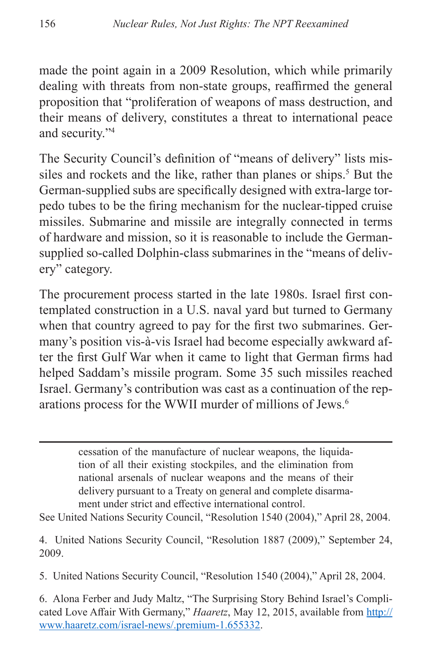made the point again in a 2009 Resolution, which while primarily dealing with threats from non-state groups, reaffirmed the general proposition that "proliferation of weapons of mass destruction, and their means of delivery, constitutes a threat to international peace and security."4

The Security Council's definition of "means of delivery" lists missiles and rockets and the like, rather than planes or ships.<sup>5</sup> But the German-supplied subs are specifically designed with extra-large torpedo tubes to be the firing mechanism for the nuclear-tipped cruise missiles. Submarine and missile are integrally connected in terms of hardware and mission, so it is reasonable to include the Germansupplied so-called Dolphin-class submarines in the "means of delivery" category.

The procurement process started in the late 1980s. Israel first contemplated construction in a U.S. naval yard but turned to Germany when that country agreed to pay for the first two submarines. Germany's position vis-à-vis Israel had become especially awkward after the first Gulf War when it came to light that German firms had helped Saddam's missile program. Some 35 such missiles reached Israel. Germany's contribution was cast as a continuation of the reparations process for the WWII murder of millions of Jews.6

> cessation of the manufacture of nuclear weapons, the liquidation of all their existing stockpiles, and the elimination from national arsenals of nuclear weapons and the means of their delivery pursuant to a Treaty on general and complete disarmament under strict and effective international control.

See United Nations Security Council, "Resolution 1540 (2004)," April 28, 2004.

4. United Nations Security Council, "Resolution 1887 (2009)," September 24, 2009.

5. United Nations Security Council, "Resolution 1540 (2004)," April 28, 2004.

<sup>6.</sup> Alona Ferber and Judy Maltz, "The Surprising Story Behind Israel's Complicated Love Affair With Germany," *Haaretz*, May 12, 2015, available from [http://](http://www.haaretz.com/israel-news/.premium-1.655332) [www.haaretz.com/israel-news/.premium-1.655332.](http://www.haaretz.com/israel-news/.premium-1.655332)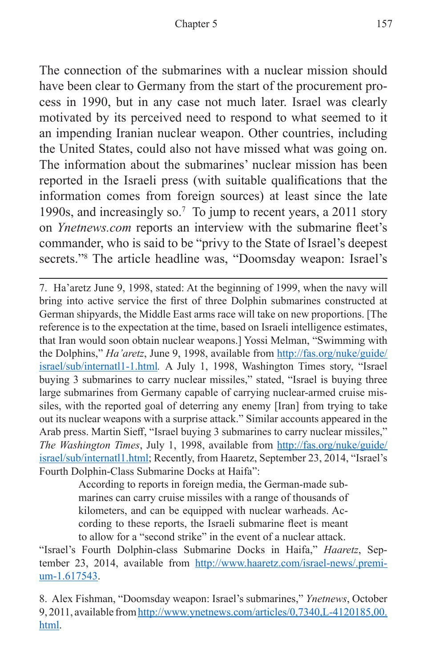The connection of the submarines with a nuclear mission should have been clear to Germany from the start of the procurement process in 1990, but in any case not much later. Israel was clearly motivated by its perceived need to respond to what seemed to it an impending Iranian nuclear weapon. Other countries, including the United States, could also not have missed what was going on. The information about the submarines' nuclear mission has been reported in the Israeli press (with suitable qualifications that the information comes from foreign sources) at least since the late 1990s, and increasingly so.<sup>7</sup> To jump to recent years, a 2011 story on *Ynetnews.com* reports an interview with the submarine fleet's commander, who is said to be "privy to the State of Israel's deepest secrets."8 The article headline was, "Doomsday weapon: Israel's

7. Ha'aretz June 9, 1998, stated: At the beginning of 1999, when the navy will bring into active service the first of three Dolphin submarines constructed at German shipyards, the Middle East arms race will take on new proportions. [The reference is to the expectation at the time, based on Israeli intelligence estimates, that Iran would soon obtain nuclear weapons.] Yossi Melman, "Swimming with the Dolphins," *Ha'aretz*, June 9, 1998, available from [http://fas.org/nuke/guide/](http://fas.org/nuke/guide/israel/sub/internatl1-1.html) [israel/sub/internatl1-1.html](http://fas.org/nuke/guide/israel/sub/internatl1-1.html)*.* A July 1, 1998, Washington Times story, "Israel buying 3 submarines to carry nuclear missiles," stated, "Israel is buying three large submarines from Germany capable of carrying nuclear-armed cruise missiles, with the reported goal of deterring any enemy [Iran] from trying to take out its nuclear weapons with a surprise attack." Similar accounts appeared in the Arab press. Martin Sieff, "Israel buying 3 submarines to carry nuclear missiles," *The Washington Times*, July 1, 1998, available from [http://fas.org/nuke/guide/](http://fas.org/nuke/guide/israel/sub/internatl1.html) [israel/sub/internatl1.html](http://fas.org/nuke/guide/israel/sub/internatl1.html); Recently, from Haaretz, September 23, 2014, "Israel's Fourth Dolphin-Class Submarine Docks at Haifa":

> According to reports in foreign media, the German-made submarines can carry cruise missiles with a range of thousands of kilometers, and can be equipped with nuclear warheads. According to these reports, the Israeli submarine fleet is meant to allow for a "second strike" in the event of a nuclear attack.

"Israel's Fourth Dolphin-class Submarine Docks in Haifa," *Haaretz*, September 23, 2014, available from [http://www.haaretz.com/israel-news/.premi](http://www.haaretz.com/israel-news/.premium-1.617543)[um-1.617543.](http://www.haaretz.com/israel-news/.premium-1.617543)

<sup>8.</sup> Alex Fishman, "Doomsday weapon: Israel's submarines," *Ynetnews*, October 9, 2011, available from [http://www.ynetnews.com/articles/0,7340,L-4120185,00.](http://www.ynetnews.com/articles/0,7340,L-4120185,00.html) [html](http://www.ynetnews.com/articles/0,7340,L-4120185,00.html).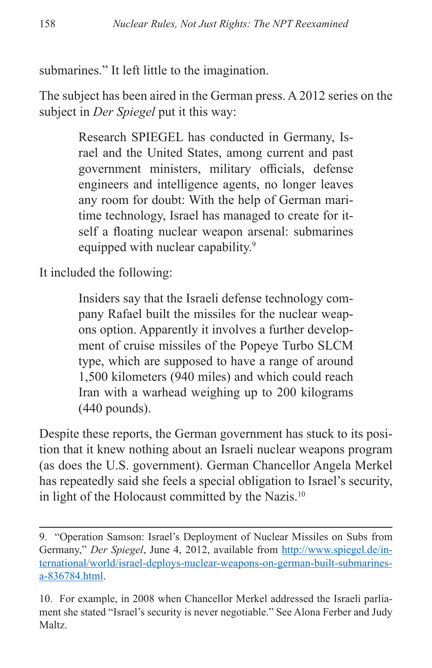submarines." It left little to the imagination.

The subject has been aired in the German press. A 2012 series on the subject in *Der Spiegel* put it this way:

> Research SPIEGEL has conducted in Germany, Israel and the United States, among current and past government ministers, military officials, defense engineers and intelligence agents, no longer leaves any room for doubt: With the help of German maritime technology, Israel has managed to create for itself a floating nuclear weapon arsenal: submarines equipped with nuclear capability.<sup>9</sup>

It included the following:

Insiders say that the Israeli defense technology company Rafael built the missiles for the nuclear weapons option. Apparently it involves a further development of cruise missiles of the Popeye Turbo SLCM type, which are supposed to have a range of around 1,500 kilometers (940 miles) and which could reach Iran with a warhead weighing up to 200 kilograms (440 pounds).

Despite these reports, the German government has stuck to its position that it knew nothing about an Israeli nuclear weapons program (as does the U.S. government). German Chancellor Angela Merkel has repeatedly said she feels a special obligation to Israel's security, in light of the Holocaust committed by the Nazis.<sup>10</sup>

<sup>9. &</sup>quot;Operation Samson: Israel's Deployment of Nuclear Missiles on Subs from Germany," *Der Spiegel*, June 4, 2012, available from [http://www.spiegel.de/in](http://www.spiegel.de/international/world/israel-deploys-nuclear-weapons-on-german-built-submarines-a-836784.html)[ternational/world/israel-deploys-nuclear-weapons-on-german-built-submarines](http://www.spiegel.de/international/world/israel-deploys-nuclear-weapons-on-german-built-submarines-a-836784.html)[a-836784.html.](http://www.spiegel.de/international/world/israel-deploys-nuclear-weapons-on-german-built-submarines-a-836784.html)

<sup>10.</sup> For example, in 2008 when Chancellor Merkel addressed the Israeli parliament she stated "Israel's security is never negotiable." See Alona Ferber and Judy Maltz.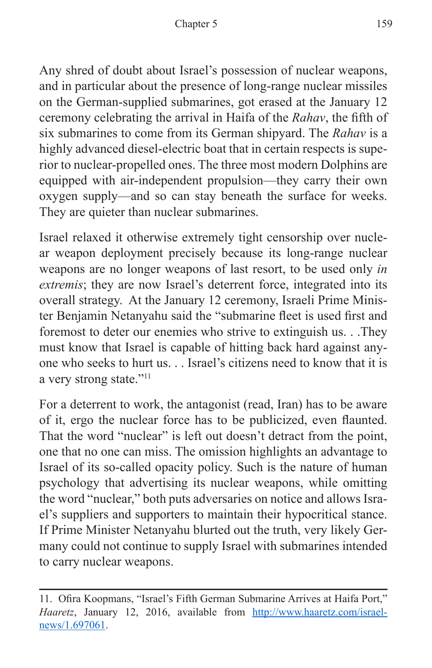Any shred of doubt about Israel's possession of nuclear weapons, and in particular about the presence of long-range nuclear missiles on the German-supplied submarines, got erased at the January 12 ceremony celebrating the arrival in Haifa of the *Rahav*, the fifth of six submarines to come from its German shipyard. The *Rahav* is a highly advanced diesel-electric boat that in certain respects is superior to nuclear-propelled ones. The three most modern Dolphins are equipped with air-independent propulsion—they carry their own oxygen supply—and so can stay beneath the surface for weeks. They are quieter than nuclear submarines.

Israel relaxed it otherwise extremely tight censorship over nuclear weapon deployment precisely because its long-range nuclear weapons are no longer weapons of last resort, to be used only *in extremis*; they are now Israel's deterrent force, integrated into its overall strategy. At the January 12 ceremony, Israeli Prime Minister Benjamin Netanyahu said the "submarine fleet is used first and foremost to deter our enemies who strive to extinguish us. . .They must know that Israel is capable of hitting back hard against anyone who seeks to hurt us. . . Israel's citizens need to know that it is a very strong state."11

For a deterrent to work, the antagonist (read, Iran) has to be aware of it, ergo the nuclear force has to be publicized, even flaunted. That the word "nuclear" is left out doesn't detract from the point, one that no one can miss. The omission highlights an advantage to Israel of its so-called opacity policy. Such is the nature of human psychology that advertising its nuclear weapons, while omitting the word "nuclear," both puts adversaries on notice and allows Israel's suppliers and supporters to maintain their hypocritical stance. If Prime Minister Netanyahu blurted out the truth, very likely Germany could not continue to supply Israel with submarines intended to carry nuclear weapons.

<sup>11.</sup> Ofira Koopmans, "Israel's Fifth German Submarine Arrives at Haifa Port," Haaretz, January 12, 2016, available from [http://www.haaretz.com/israel](http://www.haaretz.com/israel-news/1.697061)[news/1.697061.](http://www.haaretz.com/israel-news/1.697061)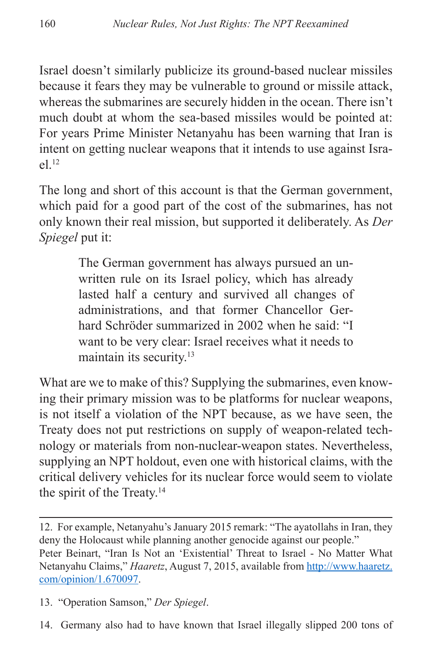Israel doesn't similarly publicize its ground-based nuclear missiles because it fears they may be vulnerable to ground or missile attack, whereas the submarines are securely hidden in the ocean. There isn't much doubt at whom the sea-based missiles would be pointed at: For years Prime Minister Netanyahu has been warning that Iran is intent on getting nuclear weapons that it intends to use against Israel.12

The long and short of this account is that the German government, which paid for a good part of the cost of the submarines, has not only known their real mission, but supported it deliberately. As *Der Spiegel* put it:

> The German government has always pursued an unwritten rule on its Israel policy, which has already lasted half a century and survived all changes of administrations, and that former Chancellor Gerhard Schröder summarized in 2002 when he said: "I want to be very clear: Israel receives what it needs to maintain its security.<sup>13</sup>

What are we to make of this? Supplying the submarines, even knowing their primary mission was to be platforms for nuclear weapons, is not itself a violation of the NPT because, as we have seen, the Treaty does not put restrictions on supply of weapon-related technology or materials from non-nuclear-weapon states. Nevertheless, supplying an NPT holdout, even one with historical claims, with the critical delivery vehicles for its nuclear force would seem to violate the spirit of the Treaty.14

13. "Operation Samson," *Der Spiegel*.

<sup>12.</sup> For example, Netanyahu's January 2015 remark: "The ayatollahs in Iran, they deny the Holocaust while planning another genocide against our people." Peter Beinart, "Iran Is Not an 'Existential' Threat to Israel - No Matter What Netanyahu Claims," *Haaretz*, August 7, 2015, available from [http://www.haaretz.](http://www.haaretz.com/opinion/1.670097) [com/opinion/1.670097.](http://www.haaretz.com/opinion/1.670097)

<sup>14.</sup> Germany also had to have known that Israel illegally slipped 200 tons of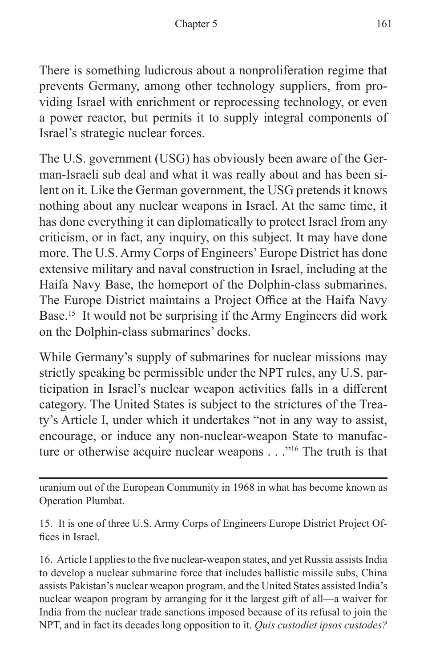There is something ludicrous about a nonproliferation regime that prevents Germany, among other technology suppliers, from providing Israel with enrichment or reprocessing technology, or even a power reactor, but permits it to supply integral components of Israel's strategic nuclear forces.

The U.S. government (USG) has obviously been aware of the German-Israeli sub deal and what it was really about and has been silent on it. Like the German government, the USG pretends it knows nothing about any nuclear weapons in Israel. At the same time, it has done everything it can diplomatically to protect Israel from any criticism, or in fact, any inquiry, on this subject. It may have done more. The U.S. Army Corps of Engineers' Europe District has done extensive military and naval construction in Israel, including at the Haifa Navy Base, the homeport of the Dolphin-class submarines. The Europe District maintains a Project Office at the Haifa Navy Base.15 It would not be surprising if the Army Engineers did work on the Dolphin-class submarines' docks.

While Germany's supply of submarines for nuclear missions may strictly speaking be permissible under the NPT rules, any U.S. participation in Israel's nuclear weapon activities falls in a different category. The United States is subject to the strictures of the Treaty's Article I, under which it undertakes "not in any way to assist, encourage, or induce any non-nuclear-weapon State to manufacture or otherwise acquire nuclear weapons . . ."<sup>16</sup> The truth is that

uranium out of the European Community in 1968 in what has become known as Operation Plumbat.

15. It is one of three U.S. Army Corps of Engineers Europe District Project Offices in Israel.

16. Article I applies to the five nuclear-weapon states, and yet Russia assists India to develop a nuclear submarine force that includes ballistic missile subs, China assists Pakistan's nuclear weapon program, and the United States assisted India's nuclear weapon program by arranging for it the largest gift of all—a waiver for India from the nuclear trade sanctions imposed because of its refusal to join the NPT, and in fact its decades long opposition to it. *Quis custodiet ipsos custodes?*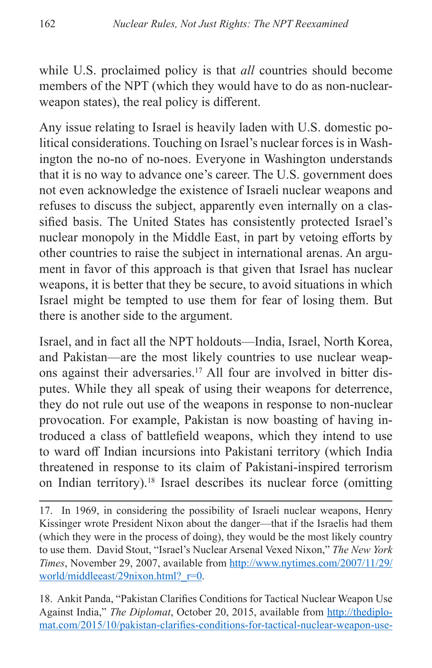while U.S. proclaimed policy is that *all* countries should become members of the NPT (which they would have to do as non-nuclearweapon states), the real policy is different.

Any issue relating to Israel is heavily laden with U.S. domestic political considerations. Touching on Israel's nuclear forces is in Washington the no-no of no-noes. Everyone in Washington understands that it is no way to advance one's career. The U.S. government does not even acknowledge the existence of Israeli nuclear weapons and refuses to discuss the subject, apparently even internally on a classified basis. The United States has consistently protected Israel's nuclear monopoly in the Middle East, in part by vetoing efforts by other countries to raise the subject in international arenas. An argument in favor of this approach is that given that Israel has nuclear weapons, it is better that they be secure, to avoid situations in which Israel might be tempted to use them for fear of losing them. But there is another side to the argument.

Israel, and in fact all the NPT holdouts—India, Israel, North Korea, and Pakistan—are the most likely countries to use nuclear weapons against their adversaries.17 All four are involved in bitter disputes. While they all speak of using their weapons for deterrence, they do not rule out use of the weapons in response to non-nuclear provocation. For example, Pakistan is now boasting of having introduced a class of battlefield weapons, which they intend to use to ward off Indian incursions into Pakistani territory (which India threatened in response to its claim of Pakistani-inspired terrorism on Indian territory).18 Israel describes its nuclear force (omitting

18. Ankit Panda, "Pakistan Clarifies Conditions for Tactical Nuclear Weapon Use Against India," *The Diplomat*, October 20, 2015, available from [http://thediplo](http://thediplomat.com/2015/10/pakistan-clarifies-conditions-for-tactical-nuclear-weapon-use-against-india/)[mat.com/2015/10/pakistan-clarifies-conditions-for-tactical-nuclear-weapon-use-](http://thediplomat.com/2015/10/pakistan-clarifies-conditions-for-tactical-nuclear-weapon-use-against-india/)

<sup>17.</sup> In 1969, in considering the possibility of Israeli nuclear weapons, Henry Kissinger wrote President Nixon about the danger—that if the Israelis had them (which they were in the process of doing), they would be the most likely country to use them. David Stout, "Israel's Nuclear Arsenal Vexed Nixon," *The New York Times*, November 29, 2007, available from [http://www.nytimes.com/2007/11/29/](http://www.nytimes.com/2007/11/29/world/middleeast/29nixon.html?_r=0) world/middleeast/29nixon.html? r=0.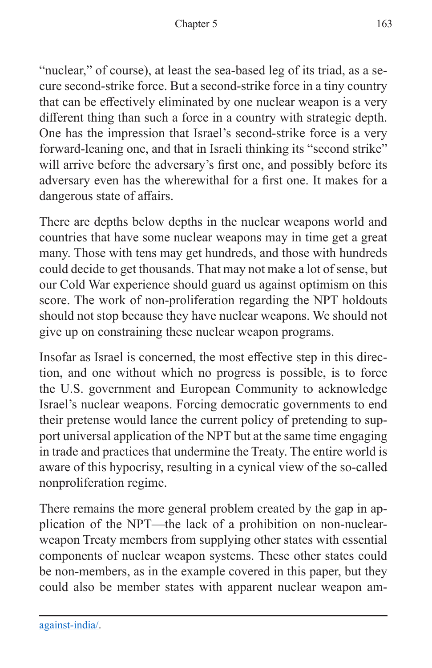"nuclear," of course), at least the sea-based leg of its triad, as a secure second-strike force. But a second-strike force in a tiny country that can be effectively eliminated by one nuclear weapon is a very different thing than such a force in a country with strategic depth. One has the impression that Israel's second-strike force is a very forward-leaning one, and that in Israeli thinking its "second strike" will arrive before the adversary's first one, and possibly before its adversary even has the wherewithal for a first one. It makes for a dangerous state of affairs.

There are depths below depths in the nuclear weapons world and countries that have some nuclear weapons may in time get a great many. Those with tens may get hundreds, and those with hundreds could decide to get thousands. That may not make a lot of sense, but our Cold War experience should guard us against optimism on this score. The work of non-proliferation regarding the NPT holdouts should not stop because they have nuclear weapons. We should not give up on constraining these nuclear weapon programs.

Insofar as Israel is concerned, the most effective step in this direction, and one without which no progress is possible, is to force the U.S. government and European Community to acknowledge Israel's nuclear weapons. Forcing democratic governments to end their pretense would lance the current policy of pretending to support universal application of the NPT but at the same time engaging in trade and practices that undermine the Treaty. The entire world is aware of this hypocrisy, resulting in a cynical view of the so-called nonproliferation regime.

There remains the more general problem created by the gap in application of the NPT—the lack of a prohibition on non-nuclearweapon Treaty members from supplying other states with essential components of nuclear weapon systems. These other states could be non-members, as in the example covered in this paper, but they could also be member states with apparent nuclear weapon am